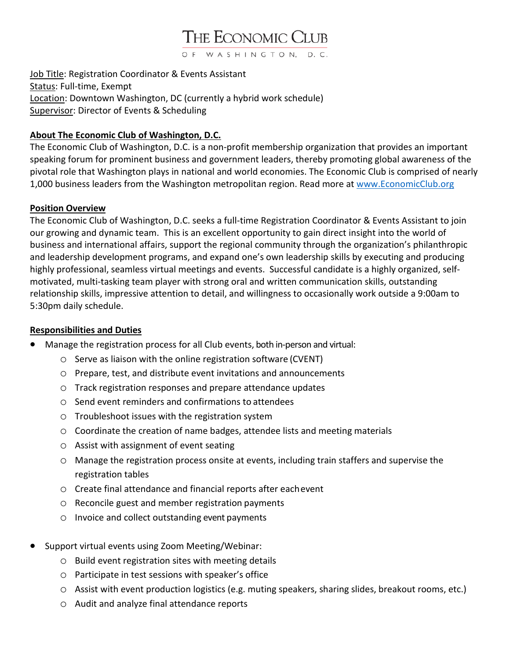# THE ECONOMIC CLUB

OF WASHINGTON, D.C.

Job Title: Registration Coordinator & Events Assistant Status: Full-time, Exempt Location: Downtown Washington, DC (currently a hybrid work schedule) Supervisor: Director of Events & Scheduling

## **About The Economic Club of Washington, D.C.**

The Economic Club of Washington, D.C. is a non-profit membership organization that provides an important speaking forum for prominent business and government leaders, thereby promoting global awareness of the pivotal role that Washington plays in national and world economies. The Economic Club is comprised of nearly 1,000 business leaders from the Washington metropolitan region. Read more at [www.EconomicClub.org](http://www.economicclub.org/)

## **Position Overview**

The Economic Club of Washington, D.C. seeks a full-time Registration Coordinator & Events Assistant to join our growing and dynamic team. This is an excellent opportunity to gain direct insight into the world of business and international affairs, support the regional community through the organization's philanthropic and leadership development programs, and expand one's own leadership skills by executing and producing highly professional, seamless virtual meetings and events. Successful candidate is a highly organized, selfmotivated, multi-tasking team player with strong oral and written communication skills, outstanding relationship skills, impressive attention to detail, and willingness to occasionally work outside a 9:00am to 5:30pm daily schedule.

#### **Responsibilities and Duties**

- Manage the registration process for all Club events, both in-person and virtual:
	- o Serve as liaison with the online registration software (CVENT)
	- o Prepare, test, and distribute event invitations and announcements
	- o Track registration responses and prepare attendance updates
	- o Send event reminders and confirmations to attendees
	- o Troubleshoot issues with the registration system
	- o Coordinate the creation of name badges, attendee lists and meeting materials
	- o Assist with assignment of event seating
	- o Manage the registration process onsite at events, including train staffers and supervise the registration tables
	- o Create final attendance and financial reports after eachevent
	- o Reconcile guest and member registration payments
	- o Invoice and collect outstanding event payments
- Support virtual events using Zoom Meeting/Webinar:
	- o Build event registration sites with meeting details
	- o Participate in test sessions with speaker's office
	- o Assist with event production logistics (e.g. muting speakers, sharing slides, breakout rooms, etc.)
	- o Audit and analyze final attendance reports